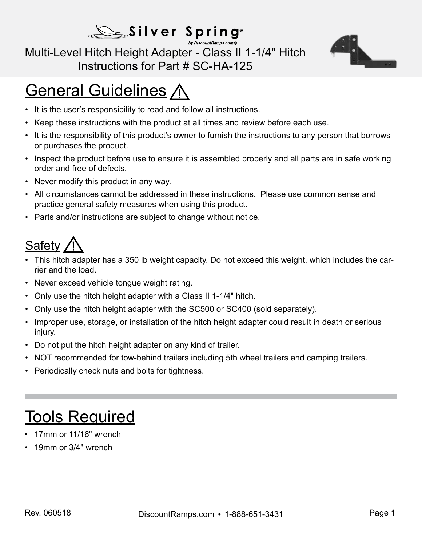#### Silver Spring® by DiscountRamps.com®

#### Multi-Level Hitch Height Adapter - Class II 1-1/4" Hitch Instructions for Part # SC-HA-125



# **General Guidelines A**

- It is the user's responsibility to read and follow all instructions.
- Keep these instructions with the product at all times and review before each use.
- It is the responsibility of this product's owner to furnish the instructions to any person that borrows or purchases the product.
- Inspect the product before use to ensure it is assembled properly and all parts are in safe working order and free of defects.
- Never modify this product in any way.
- All circumstances cannot be addressed in these instructions. Please use common sense and practice general safety measures when using this product.
- Parts and/or instructions are subject to change without notice.

### Safety

- This hitch adapter has a 350 lb weight capacity. Do not exceed this weight, which includes the carrier and the load.
- Never exceed vehicle tongue weight rating.
- Only use the hitch height adapter with a Class II 1-1/4" hitch.
- Only use the hitch height adapter with the SC500 or SC400 (sold separately).
- Improper use, storage, or installation of the hitch height adapter could result in death or serious injury.
- Do not put the hitch height adapter on any kind of trailer.
- NOT recommended for tow-behind trailers including 5th wheel trailers and camping trailers.
- Periodically check nuts and bolts for tightness.

# **Tools Required**

- 17mm or 11/16" wrench
- 19mm or 3/4" wrench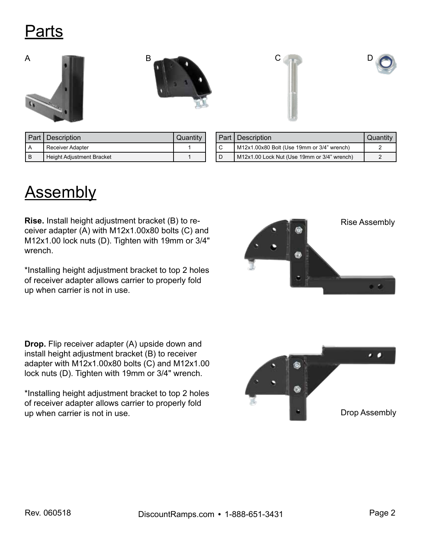### Parts









|   | Part   Description        | Quantity |
|---|---------------------------|----------|
|   | <b>Receiver Adapter</b>   |          |
| B | Height Adjustment Bracket |          |

|     | <b>Part Description</b>                         | Quantity |
|-----|-------------------------------------------------|----------|
| l c | $M12x1.00x80$ Bolt (Use 19mm or $3/4$ " wrench) |          |
| l D | M12x1.00 Lock Nut (Use 19mm or 3/4" wrench)     |          |

# **Assembly**

**Rise.** Install height adjustment bracket (B) to receiver adapter (A) with M12x1.00x80 bolts (C) and M12x1.00 lock nuts (D). Tighten with 19mm or 3/4" wrench.

\*Installing height adjustment bracket to top 2 holes of receiver adapter allows carrier to properly fold up when carrier is not in use.

**Drop.** Flip receiver adapter (A) upside down and install height adjustment bracket (B) to receiver adapter with M12x1.00x80 bolts (C) and M12x1.00 lock nuts (D). Tighten with 19mm or 3/4" wrench.

\*Installing height adjustment bracket to top 2 holes of receiver adapter allows carrier to properly fold up when carrier is not in use.



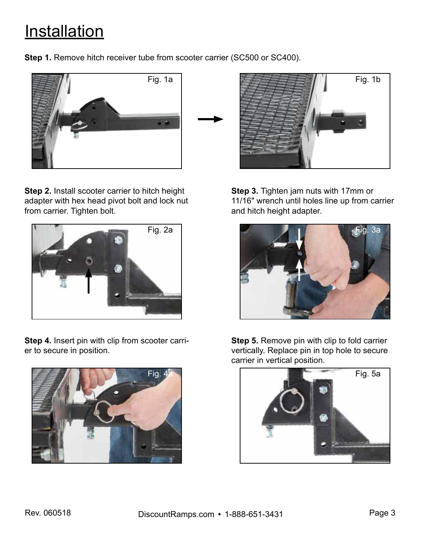### **Installation**

**Step 1.** Remove hitch receiver tube from scooter carrier (SC500 or SC400).



**Step 2.** Install scooter carrier to hitch height adapter with hex head pivot bolt and lock nut from carrier. Tighten bolt.



**Step 4.** Insert pin with clip from scooter carrier to secure in position.





**Step 3.** Tighten jam nuts with 17mm or 11/16" wrench until holes line up from carrier and hitch height adapter.



**Step 5.** Remove pin with clip to fold carrier vertically. Replace pin in top hole to secure carrier in vertical position.